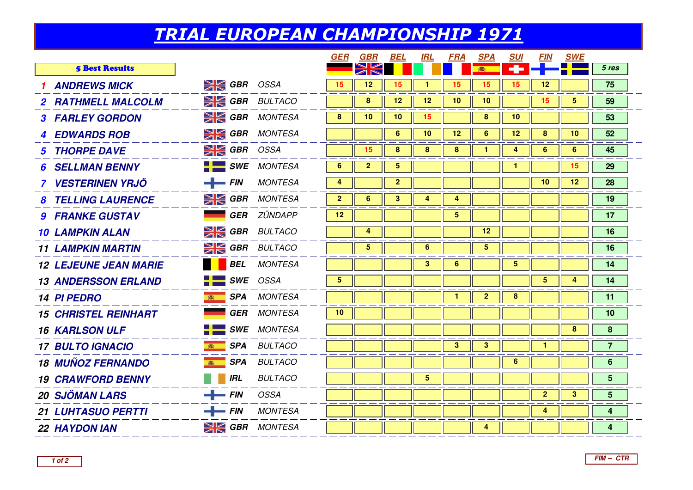## TRIAL EUROPEAN CHAMPIONSHIP 1971

|                              |                  |                            | GER                     | GBR            | BEL                     | <b>IRL</b>              | <b>FRA</b>     | <b>SPA</b>      | <b>SUI</b> | <u>FIN</u>      | <b>SWE</b> |                |  |
|------------------------------|------------------|----------------------------|-------------------------|----------------|-------------------------|-------------------------|----------------|-----------------|------------|-----------------|------------|----------------|--|
| <b>5 Best Results</b>        |                  |                            |                         |                |                         |                         |                |                 |            |                 |            | 5 res          |  |
| <b>ANDREWS MICK</b>          | $\geq$ GBR OSSA  |                            | 15                      | 12             | 15                      | 1                       | 15             | 15              | 15         | 12              |            | 75             |  |
| 2 RATHMELL MALCOLM           |                  | <b>EXE GBR</b> BULTACO     |                         | 8              | 12                      | 12                      | 10             | 10              |            | 15              | 5          | 59             |  |
| <b>3 FARLEY GORDON</b>       |                  | <b>SK GBR</b> MONTESA      | 8                       | 10             | 10                      | 15                      |                | 8               | 10         |                 |            | 53             |  |
| <b>4 EDWARDS ROB</b>         |                  | <b>SK GBR</b> MONTESA      |                         |                | 6                       | 10                      | 12             | 6               | 12         | 8               | 10         | 52             |  |
| <b>5 THORPE DAVE</b>         | $\geq$ GBR OSSA  |                            |                         | 15             | 8                       | 8                       | 8              |                 | 4          | 6               | 6          | 45             |  |
| <b>SELLMAN BENNY</b>         |                  | $\blacksquare$ SWE MONTESA | 6                       | $\overline{2}$ | $\overline{\mathbf{5}}$ |                         |                |                 | 1          |                 | 15         | 29             |  |
| 7 VESTERINEN YRJÖ            | $-$ FIN          | <b>MONTESA</b>             | 4                       |                | $\overline{2}$          |                         |                |                 |            | 10              | 12         | 28             |  |
| <b>8 TELLING LAURENCE</b>    |                  | $\geq$ GBR MONTESA         | $\overline{2}$          | 6              | 3                       | 4                       | 4              |                 |            |                 |            | 19             |  |
| <b>9 FRANKE GUSTAV</b>       |                  | <b>GER</b> ZÜNDAPP         | 12                      |                |                         |                         | 5 <sub>5</sub> |                 |            |                 |            | 17             |  |
| <b>10 LAMPKIN ALAN</b>       |                  | <b>SI GBR</b> BULTACO      |                         | 4              |                         |                         |                | 12              |            |                 |            | 16             |  |
| <b>11 LAMPKIN MARTIN</b>     |                  | <b>SIGBR</b> BULTACO       |                         | 5 <sup>5</sup> |                         | 6                       |                | $5\phantom{.0}$ |            |                 |            | 16             |  |
| <b>12 LEJEUNE JEAN MARIE</b> |                  | <b>BEL</b> MONTESA         |                         |                |                         | 3                       | 6              |                 | 5          |                 |            | 14             |  |
| <b>13 ANDERSSON ERLAND</b>   |                  | SWE OSSA                   | $\overline{\mathbf{5}}$ |                |                         |                         |                |                 |            | $5\phantom{.0}$ | 4          | 14             |  |
| <b>14 PI PEDRO</b>           | 高                | <b>SPA</b> MONTESA         |                         |                |                         |                         | 1.             | $\mathbf{2}$    | 8          |                 |            | 11             |  |
| <b>15 CHRISTEL REINHART</b>  |                  | <b>GER</b> MONTESA         | 10                      |                |                         |                         |                |                 |            |                 |            | 10             |  |
| <b>16 KARLSON ULF</b>        |                  | $\blacksquare$ SWE MONTESA |                         |                |                         |                         |                |                 |            |                 | 8          | 8              |  |
| <b>17 BULTO IGNACIO</b>      | 高                | <b>SPA</b> BULTACO         |                         |                |                         |                         | 3              | 3               |            |                 |            | $\overline{7}$ |  |
| <b>18 MUÑOZ FERNANDO</b>     | <b>RASHER</b>    | <b>SPA</b> BULTACO         |                         |                |                         |                         |                |                 | 6          |                 |            | 6              |  |
| <b>19 CRAWFORD BENNY</b>     | <b>IRL</b>       | <b>BULTACO</b>             |                         |                |                         | $\overline{\mathbf{5}}$ |                |                 |            |                 |            | $5\phantom{1}$ |  |
| <b>20 SJÖMAN LARS</b>        | $\leftarrow$ FIN | OSSA                       |                         |                |                         |                         |                |                 |            | $\overline{2}$  | 3          | 5              |  |
| <b>21 LUHTASUO PERTTI</b>    | $-$ FIN          | <b>MONTESA</b>             |                         |                |                         |                         |                |                 |            | 4               |            | 4              |  |
| <b>22 HAYDON IAN</b>         |                  | <b>EX GBR</b> MONTESA      |                         |                |                         |                         |                | 4               |            |                 |            | 4              |  |
|                              |                  |                            |                         |                |                         |                         |                |                 |            |                 |            |                |  |